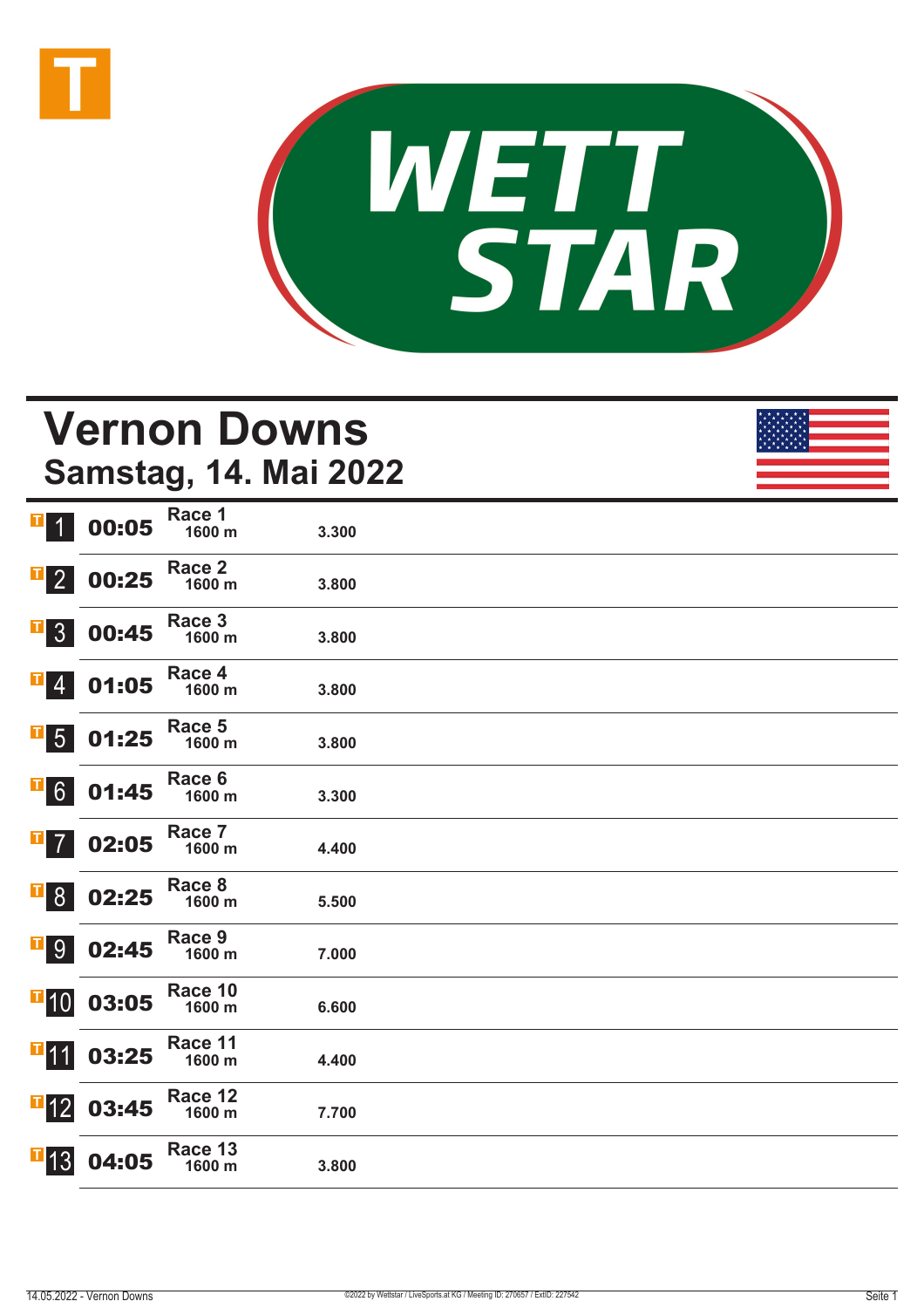



### **Vernon Downs Samstag, 14. Mai 2022**

| T<br>$\overline{1}$       | 00:05 | Race 1<br>1600 m  | 3.300 |  |
|---------------------------|-------|-------------------|-------|--|
| $\overline{\textbf{1}}$ 2 | 00:25 | Race 2<br>1600 m  | 3.800 |  |
| 3 <sup>1</sup><br> T      | 00:45 | Race 3<br>1600 m  | 3.800 |  |
| $\overline{4}$            | 01:05 | Race 4<br>1600 m  | 3.800 |  |
| Щ<br>5 <sup>5</sup>       | 01:25 | Race 5<br>1600 m  | 3.800 |  |
| Щ<br>6 <sup>1</sup>       | 01:45 | Race 6<br>1600 m  | 3.300 |  |
| П                         | 02:05 | Race 7<br>1600 m  | 4.400 |  |
| щ<br>8 <sup>°</sup>       | 02:25 | Race 8<br>1600 m  | 5.500 |  |
| $\mathbf{F}$ 9            | 02:45 | Race 9<br>1600 m  | 7.000 |  |
| $\mathbf{F}$ 10           | 03:05 | Race 10<br>1600 m | 6.600 |  |
| $T$ 11                    | 03:25 | Race 11<br>1600 m | 4.400 |  |
| $\mathbf{F}$ 12           | 03:45 | Race 12<br>1600 m | 7.700 |  |
| $\blacksquare$ 13         | 04:05 | Race 13<br>1600 m | 3.800 |  |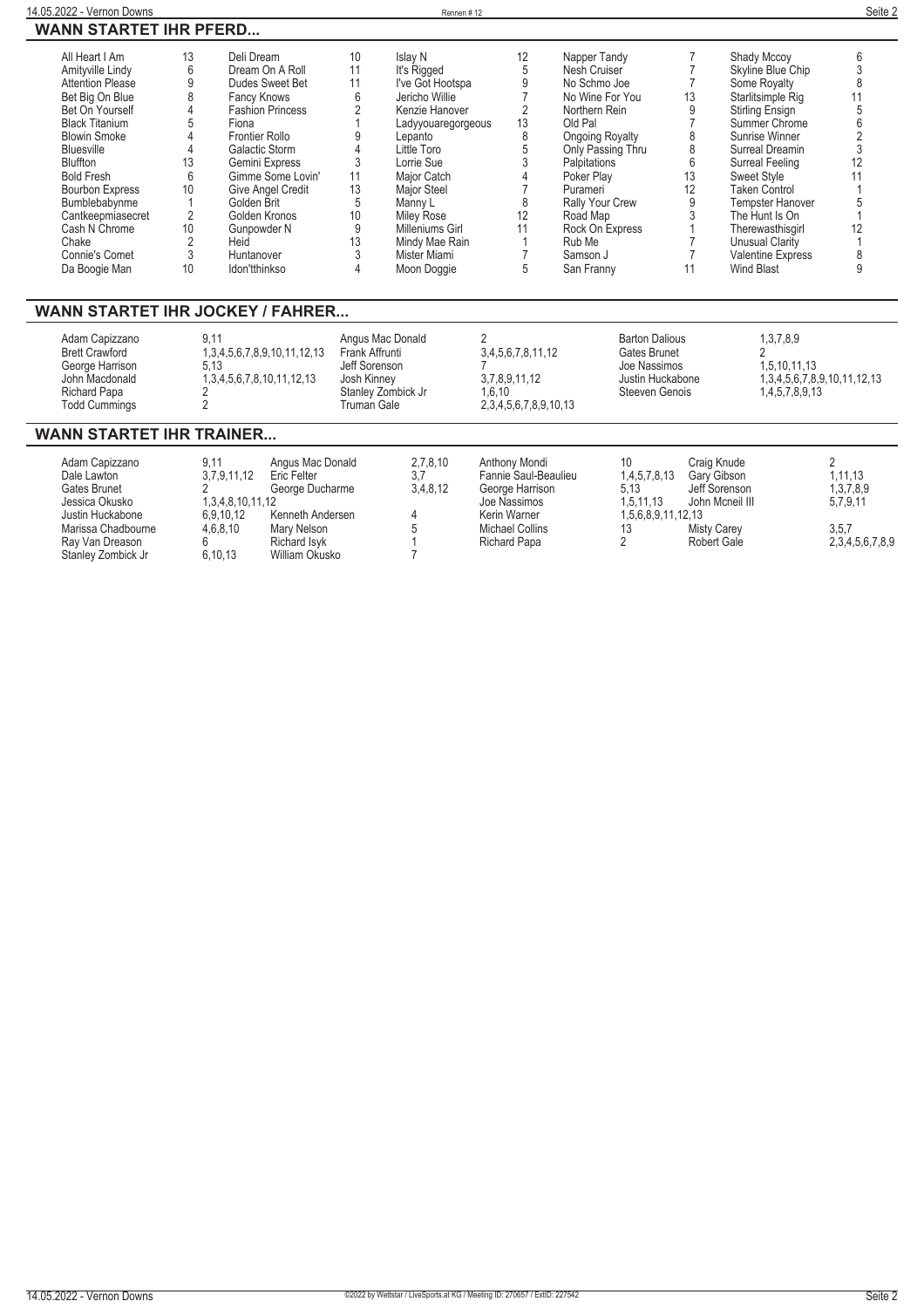|  | <b>WANN STARTET IHR PFERD</b> |
|--|-------------------------------|
|  |                               |

| All Heart I Am          | 13 | Deli Dream               | 10              | Islav N            | 12 | Napper Tandy           |    | Shady Mccoy          |    |
|-------------------------|----|--------------------------|-----------------|--------------------|----|------------------------|----|----------------------|----|
| Amityville Lindy        |    | Dream On A Roll          |                 | It's Rigged        |    | Nesh Cruiser           |    | Skyline Blue Chip    |    |
| <b>Attention Please</b> |    | Dudes Sweet Bet          |                 | I've Got Hootspa   |    | No Schmo Joe           |    | Some Royalty         |    |
| Bet Big On Blue         |    | Fancy Knows              | 6               | Jericho Willie     |    | No Wine For You        | 13 | Starlitsimple Rig    |    |
| Bet On Yourself         |    | <b>Fashion Princess</b>  |                 | Kenzie Hanover     |    | Northern Rein          |    | Stirling Ensign      |    |
| <b>Black Titanium</b>   |    | Fiona                    |                 | Ladyyouaregorgeous | 13 | Old Pal                |    | Summer Chrome        |    |
| <b>Blowin Smoke</b>     |    | <b>Frontier Rollo</b>    |                 | Lepanto            | 8  | Ongoing Royalty        |    | Sunrise Winner       |    |
| <b>Bluesville</b>       |    | Galactic Storm           |                 | Little Toro        |    | Only Passing Thru      |    | Surreal Dreamin      |    |
| <b>Bluffton</b>         | 13 | Gemini Express           |                 | Lorrie Sue         |    | Palpitations           |    | Surreal Feeling      | 12 |
| <b>Bold Fresh</b>       |    | Gimme Some Lovin'        | 11              | Major Catch        |    | Poker Play             | 13 | Sweet Style          |    |
| <b>Bourbon Express</b>  | 10 | <b>Give Angel Credit</b> | 13              | <b>Maior Steel</b> |    | Purameri               |    | <b>Taken Control</b> |    |
| Bumblebabynme           |    | Golden Brit              |                 | Manny L            |    | <b>Rally Your Crew</b> |    | Tempster Hanover     |    |
| Cantkeepmiasecret       |    | Golden Kronos            | 10 <sup>°</sup> | <b>Miley Rose</b>  | 12 | Road Map               |    | The Hunt Is On       |    |
| Cash N Chrome           | 10 | Gunpowder N              |                 | Milleniums Girl    |    | Rock On Express        |    | Therewasthisgirl     |    |
| Chake                   |    | Heid                     | 13              | Mindy Mae Rain     |    | Rub Me                 |    | Unusual Clarity      |    |
| Connie's Comet          |    | Huntanover               |                 | Mister Miami       |    | Samson J               |    | Valentine Express    |    |
| Da Boogie Man           | 10 | Idon'tthinkso            |                 | Moon Doggie        |    | San Franny             |    | <b>Wind Blast</b>    |    |

#### **WANN STARTET IHR JOCKEY / FAHRER...**

### **WANN STARTET IHR TRAINER...**

| Adam Capizzano     | 9.11             | Angus Mac Donald | 2,7,8,10 | Anthony Mondi          |                    | Craig Knude        |                 |
|--------------------|------------------|------------------|----------|------------------------|--------------------|--------------------|-----------------|
| Dale Lawton        | 3.7.9.11.12      | Eric Felter      | 3.7      | Fannie Saul-Beaulieu   | 1,4,5,7,8,13       | Gary Gibson        | 1.11.13         |
| Gates Brunet       |                  | George Ducharme  | 3,4,8,12 | George Harrison        | 5.13               | Jeff Sorenson      | 1,3,7,8,9       |
| Jessica Okusko     | 1.3.4.8.10.11.12 |                  |          | Joe Nassimos           | 1.5.11.13          | John Mcneil III    | 5.7.9.11        |
| Justin Huckabone   | 6.9.10.12        | Kenneth Andersen |          | Kerin Warner           | 1.5.6.8.9.11.12.13 |                    |                 |
| Marissa Chadbourne | 4.6.8.10         | Mary Nelson      |          | <b>Michael Collins</b> |                    | <b>Misty Carey</b> | 3,5,7           |
| Ray Van Dreason    |                  | Richard Isvk     |          | Richard Papa           |                    | <b>Robert Gale</b> | 2,3,4,5,6,7,8,9 |
| Stanley Zombick Jr | 6.10.13          | William Okusko   |          |                        |                    |                    |                 |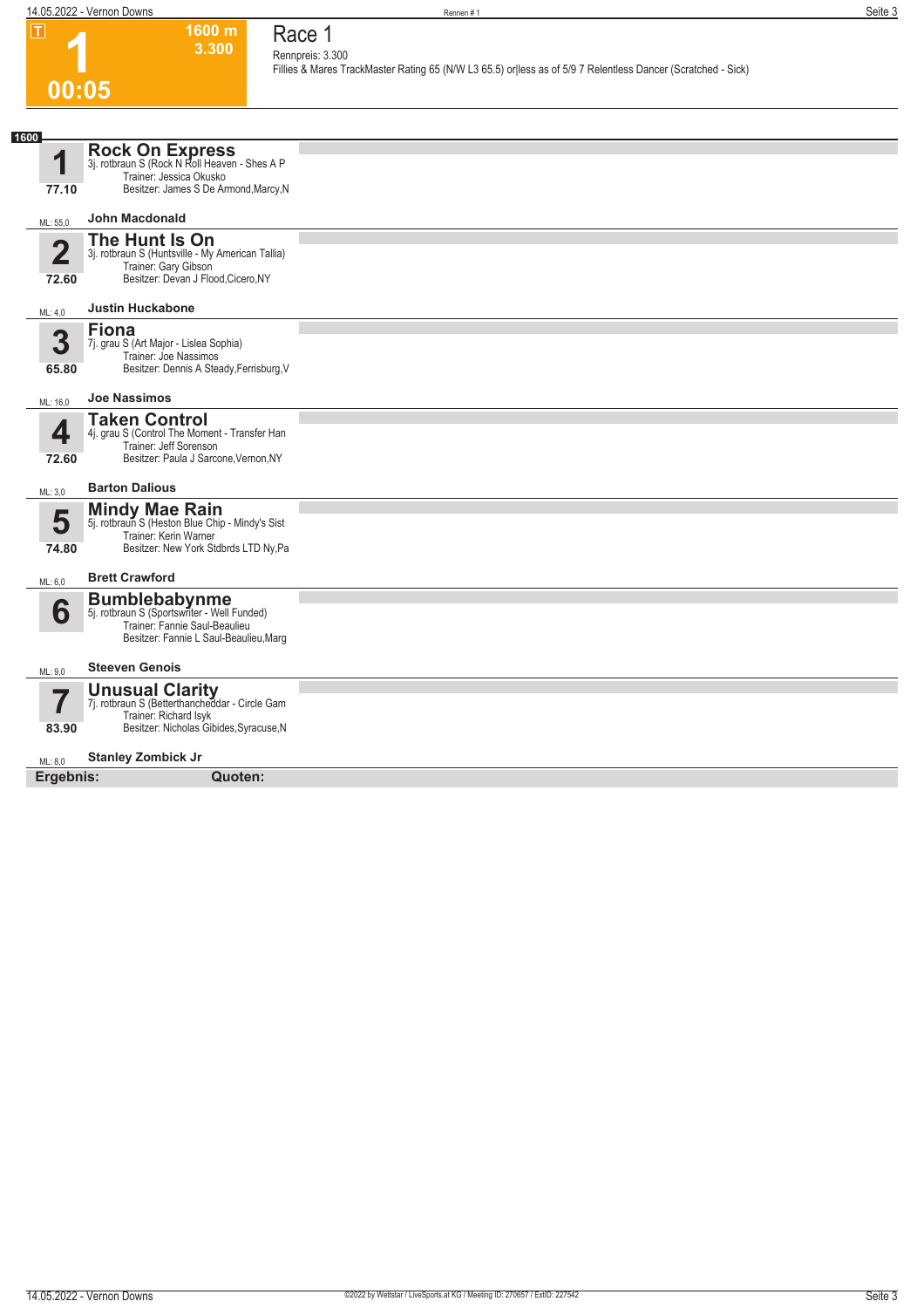**1600 m 3.300** 

**Race 1 Rennpreis: 3.300**

**Fillies & Mares TrackMaster Rating 65 (N/W L3 65.5) or|less as of 5/9 7 Relentless Dancer (Scratched - Sick)** 

### **1 00:05**

| 1600<br><b>Rock On Express</b><br>3j. rotbraun S (Rock N Roll Heaven - Shes A P<br>4<br>Trainer: Jessica Okusko<br>Besitzer: James S De Armond, Marcy, N<br>77.10<br><b>John Macdonald</b><br>ML: 55.0<br>The Hunt Is On<br>$\overline{\mathbf{2}}$<br>3j. rotbraun S (Huntsville - My American Tallia)<br>Trainer: Gary Gibson<br>Besitzer: Devan J Flood, Cicero, NY<br>72.60<br><b>Justin Huckabone</b><br>ML: 4,0<br><b>Fiona</b><br>3<br>7j. grau S (Art Major - Lislea Sophia)<br>Trainer: Joe Nassimos<br>Besitzer: Dennis A Steady, Ferrisburg, V<br>65.80<br><b>Joe Nassimos</b><br>ML: 16.0<br><b>Taken Control</b><br>4<br>4j. grau S (Control The Moment - Transfer Han<br>Trainer: Jeff Sorenson<br>Besitzer: Paula J Sarcone, Vernon, NY<br>72.60<br><b>Barton Dalious</b><br>ML: 3,0<br><b>Mindy Mae Rain</b><br>5<br>5j. rotbraun S (Heston Blue Chip - Mindy's Sist<br>Trainer: Kerin Warner<br>Besitzer: New York Stdbrds LTD Ny, Pa<br>74.80<br><b>Brett Crawford</b><br>ML: 6,0 |
|-----------------------------------------------------------------------------------------------------------------------------------------------------------------------------------------------------------------------------------------------------------------------------------------------------------------------------------------------------------------------------------------------------------------------------------------------------------------------------------------------------------------------------------------------------------------------------------------------------------------------------------------------------------------------------------------------------------------------------------------------------------------------------------------------------------------------------------------------------------------------------------------------------------------------------------------------------------------------------------------------------|
|                                                                                                                                                                                                                                                                                                                                                                                                                                                                                                                                                                                                                                                                                                                                                                                                                                                                                                                                                                                                     |
|                                                                                                                                                                                                                                                                                                                                                                                                                                                                                                                                                                                                                                                                                                                                                                                                                                                                                                                                                                                                     |
|                                                                                                                                                                                                                                                                                                                                                                                                                                                                                                                                                                                                                                                                                                                                                                                                                                                                                                                                                                                                     |
|                                                                                                                                                                                                                                                                                                                                                                                                                                                                                                                                                                                                                                                                                                                                                                                                                                                                                                                                                                                                     |
|                                                                                                                                                                                                                                                                                                                                                                                                                                                                                                                                                                                                                                                                                                                                                                                                                                                                                                                                                                                                     |
|                                                                                                                                                                                                                                                                                                                                                                                                                                                                                                                                                                                                                                                                                                                                                                                                                                                                                                                                                                                                     |
|                                                                                                                                                                                                                                                                                                                                                                                                                                                                                                                                                                                                                                                                                                                                                                                                                                                                                                                                                                                                     |
|                                                                                                                                                                                                                                                                                                                                                                                                                                                                                                                                                                                                                                                                                                                                                                                                                                                                                                                                                                                                     |
|                                                                                                                                                                                                                                                                                                                                                                                                                                                                                                                                                                                                                                                                                                                                                                                                                                                                                                                                                                                                     |
|                                                                                                                                                                                                                                                                                                                                                                                                                                                                                                                                                                                                                                                                                                                                                                                                                                                                                                                                                                                                     |
|                                                                                                                                                                                                                                                                                                                                                                                                                                                                                                                                                                                                                                                                                                                                                                                                                                                                                                                                                                                                     |
|                                                                                                                                                                                                                                                                                                                                                                                                                                                                                                                                                                                                                                                                                                                                                                                                                                                                                                                                                                                                     |
|                                                                                                                                                                                                                                                                                                                                                                                                                                                                                                                                                                                                                                                                                                                                                                                                                                                                                                                                                                                                     |
|                                                                                                                                                                                                                                                                                                                                                                                                                                                                                                                                                                                                                                                                                                                                                                                                                                                                                                                                                                                                     |
|                                                                                                                                                                                                                                                                                                                                                                                                                                                                                                                                                                                                                                                                                                                                                                                                                                                                                                                                                                                                     |
|                                                                                                                                                                                                                                                                                                                                                                                                                                                                                                                                                                                                                                                                                                                                                                                                                                                                                                                                                                                                     |
|                                                                                                                                                                                                                                                                                                                                                                                                                                                                                                                                                                                                                                                                                                                                                                                                                                                                                                                                                                                                     |
|                                                                                                                                                                                                                                                                                                                                                                                                                                                                                                                                                                                                                                                                                                                                                                                                                                                                                                                                                                                                     |
|                                                                                                                                                                                                                                                                                                                                                                                                                                                                                                                                                                                                                                                                                                                                                                                                                                                                                                                                                                                                     |
|                                                                                                                                                                                                                                                                                                                                                                                                                                                                                                                                                                                                                                                                                                                                                                                                                                                                                                                                                                                                     |
| <b>Bumblebabynme</b><br>5j. rotbraun S (Sportswriter - Well Funded)                                                                                                                                                                                                                                                                                                                                                                                                                                                                                                                                                                                                                                                                                                                                                                                                                                                                                                                                 |
| 6<br>Trainer: Fannie Saul-Beaulieu                                                                                                                                                                                                                                                                                                                                                                                                                                                                                                                                                                                                                                                                                                                                                                                                                                                                                                                                                                  |
| Besitzer: Fannie L Saul-Beaulieu, Marg                                                                                                                                                                                                                                                                                                                                                                                                                                                                                                                                                                                                                                                                                                                                                                                                                                                                                                                                                              |
| <b>Steeven Genois</b><br>ML: 9.0                                                                                                                                                                                                                                                                                                                                                                                                                                                                                                                                                                                                                                                                                                                                                                                                                                                                                                                                                                    |
| <b>Unusual Clarity</b><br>7j. rotbraun S (Betterthancheddar - Circle Gam                                                                                                                                                                                                                                                                                                                                                                                                                                                                                                                                                                                                                                                                                                                                                                                                                                                                                                                            |
| 7<br>Trainer: Richard Isyk                                                                                                                                                                                                                                                                                                                                                                                                                                                                                                                                                                                                                                                                                                                                                                                                                                                                                                                                                                          |
| Besitzer: Nicholas Gibides, Syracuse, N<br>83.90                                                                                                                                                                                                                                                                                                                                                                                                                                                                                                                                                                                                                                                                                                                                                                                                                                                                                                                                                    |
| <b>Stanley Zombick Jr</b><br>ML: 8.0                                                                                                                                                                                                                                                                                                                                                                                                                                                                                                                                                                                                                                                                                                                                                                                                                                                                                                                                                                |
| Ergebnis:<br>Quoten:                                                                                                                                                                                                                                                                                                                                                                                                                                                                                                                                                                                                                                                                                                                                                                                                                                                                                                                                                                                |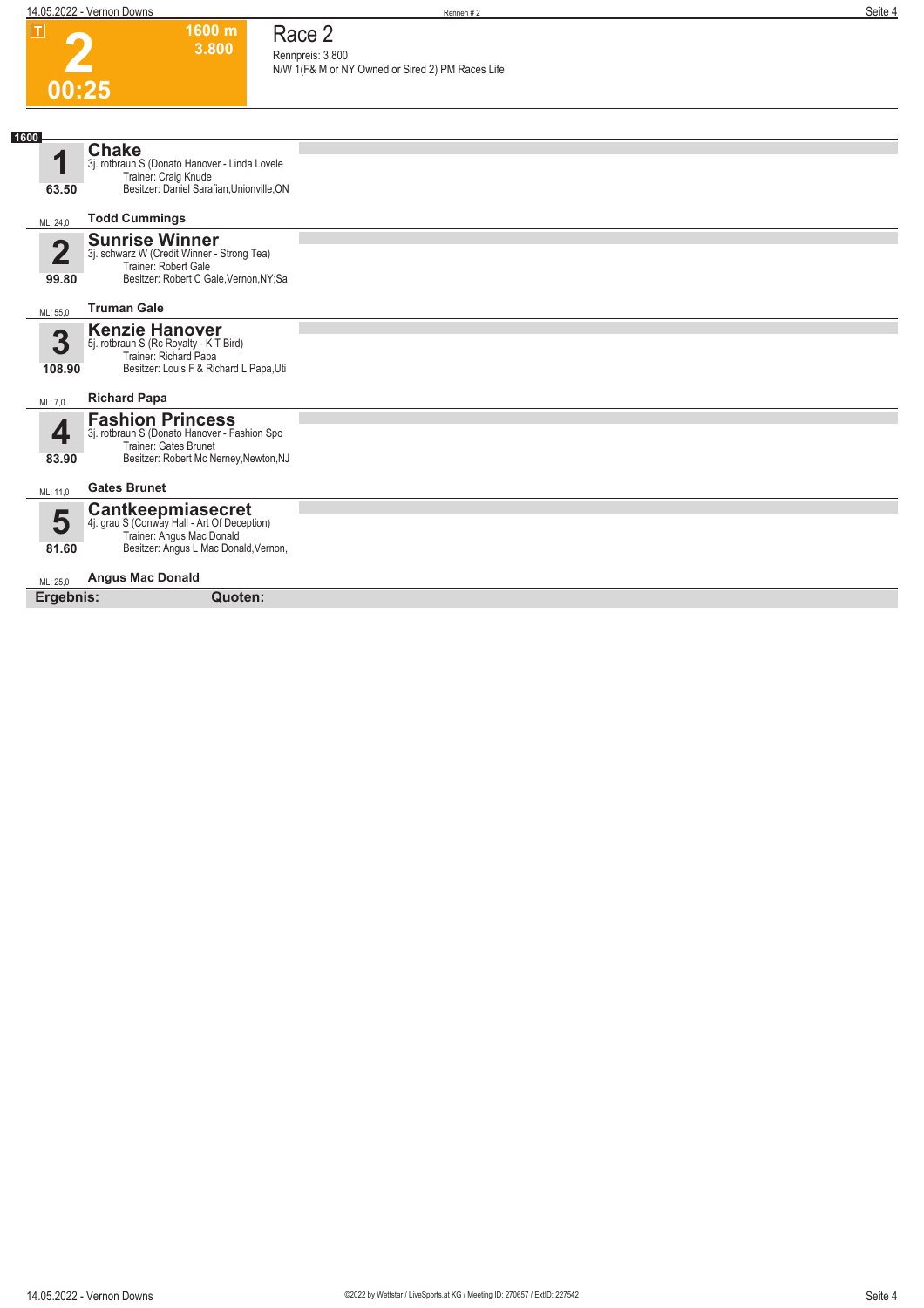## **2 00:25**

# **Race 2**

**1600 m 3.800** 

**Rennpreis: 3.800 N/W 1(F& M or NY Owned or Sired 2) PM Races Life** 

| 1600              |                                                                                                                                               |  |
|-------------------|-----------------------------------------------------------------------------------------------------------------------------------------------|--|
|                   | <b>Chake</b><br>3j. rotbraun S (Donato Hanover - Linda Lovele<br>Trainer: Craig Knude                                                         |  |
| 63.50             | Besitzer: Daniel Sarafian, Unionville, ON                                                                                                     |  |
| ML: 24,0          | <b>Todd Cummings</b>                                                                                                                          |  |
| $\Gamma$<br>99.80 | <b>Sunrise Winner</b><br>3j. schwarz W (Credit Winner - Strong Tea)<br>Trainer: Robert Gale<br>Besitzer: Robert C Gale, Vernon, NY; Sa        |  |
| ML: 55,0          | <b>Truman Gale</b>                                                                                                                            |  |
| 3<br>108.90       | <b>Kenzie Hanover</b><br>5j. rotbraun S (Rc Royalty - K T Bird)<br>Trainer: Richard Papa<br>Besitzer: Louis F & Richard L Papa, Uti           |  |
| ML: 7,0           | <b>Richard Papa</b>                                                                                                                           |  |
| 83.90             | <b>Fashion Princess</b><br>3j. rotbraun S (Donato Hanover - Fashion Spo<br>Trainer: Gates Brunet<br>Besitzer: Robert Mc Nerney, Newton, NJ    |  |
| ML: 11,0          | <b>Gates Brunet</b>                                                                                                                           |  |
| 5<br>81.60        | <b>Cantkeepmiasecret</b><br>4j. grau S (Conway Hall - Art Of Deception)<br>Trainer: Angus Mac Donald<br>Besitzer: Angus L Mac Donald, Vernon, |  |
| ML: 25.0          | <b>Angus Mac Donald</b>                                                                                                                       |  |
| Ergebnis:         | Quoten:                                                                                                                                       |  |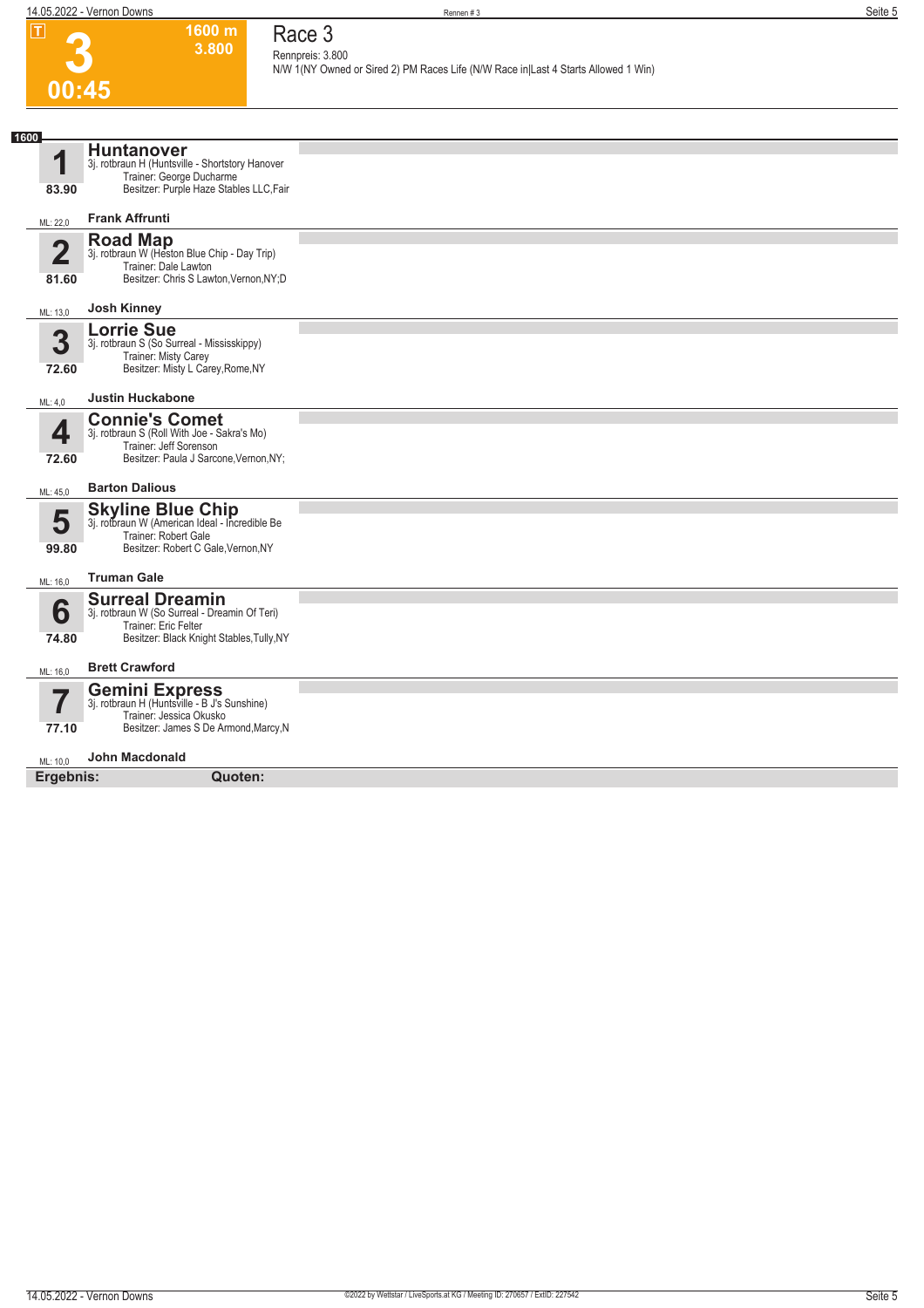| $\mathbf{I}$                     | 1600 m<br>3.800                                                                                                                              | Race 3                                                                                                 |
|----------------------------------|----------------------------------------------------------------------------------------------------------------------------------------------|--------------------------------------------------------------------------------------------------------|
|                                  |                                                                                                                                              | Rennpreis: 3.800<br>N/W 1(NY Owned or Sired 2) PM Races Life (N/W Race in Last 4 Starts Allowed 1 Win) |
|                                  | 00:45                                                                                                                                        |                                                                                                        |
|                                  |                                                                                                                                              |                                                                                                        |
| 1600                             |                                                                                                                                              |                                                                                                        |
| 1                                | <b>Huntanover</b><br>3j. rotbraun H (Huntsville - Shortstory Hanover<br>Trainer: George Ducharme                                             |                                                                                                        |
| 83.90                            | Besitzer: Purple Haze Stables LLC, Fair                                                                                                      |                                                                                                        |
| ML: 22,0                         | <b>Frank Affrunti</b>                                                                                                                        |                                                                                                        |
| $\overline{\mathbf{2}}$<br>81.60 | <b>Road Map</b><br>3j. rotbraun W (Heston Blue Chip - Day Trip)<br>Trainer: Dale Lawton<br>Besitzer: Chris S Lawton, Vernon, NY; D           |                                                                                                        |
|                                  | <b>Josh Kinney</b>                                                                                                                           |                                                                                                        |
| ML: 13,0                         | <b>Lorrie Sue</b>                                                                                                                            |                                                                                                        |
| 3<br>72.60                       | 3j. rotbraun S (So Surreal - Mississkippy)<br>Trainer: Misty Carey<br>Besitzer: Misty L Carey, Rome, NY                                      |                                                                                                        |
| ML: 4,0                          | <b>Justin Huckabone</b>                                                                                                                      |                                                                                                        |
| 4<br>72.60                       | <b>Connie's Comet</b><br>3j. rotbraun S (Roll With Joe - Sakra's Mo)<br>Trainer: Jeff Sorenson<br>Besitzer: Paula J Sarcone, Vernon, NY;     |                                                                                                        |
| ML: 45,0                         | <b>Barton Dalious</b>                                                                                                                        |                                                                                                        |
| 5<br>99.80                       | <b>Skyline Blue Chip</b><br>3j. rotbraun W (American Ideal - Incredible Be<br>Trainer: Robert Gale<br>Besitzer: Robert C Gale, Vernon, NY    |                                                                                                        |
| ML: 16,0                         | <b>Truman Gale</b>                                                                                                                           |                                                                                                        |
| 6<br>74.80                       | <b>Surreal Dreamin</b><br>3j. rotbraun W (So Surreal - Dreamin Of Teri)<br>Trainer: Eric Felter<br>Besitzer: Black Knight Stables, Tully, NY |                                                                                                        |
| ML: 16,0                         | <b>Brett Crawford</b>                                                                                                                        |                                                                                                        |
| 7<br>77.10                       | <b>Gemini Express</b><br>3j. rotbraun H (Huntsville - B J's Sunshine)<br>Trainer: Jessica Okusko<br>Besitzer: James S De Armond, Marcy, N    |                                                                                                        |
| ML: 10,0                         | <b>John Macdonald</b>                                                                                                                        |                                                                                                        |
| Ergebnis:                        | Quoten:                                                                                                                                      |                                                                                                        |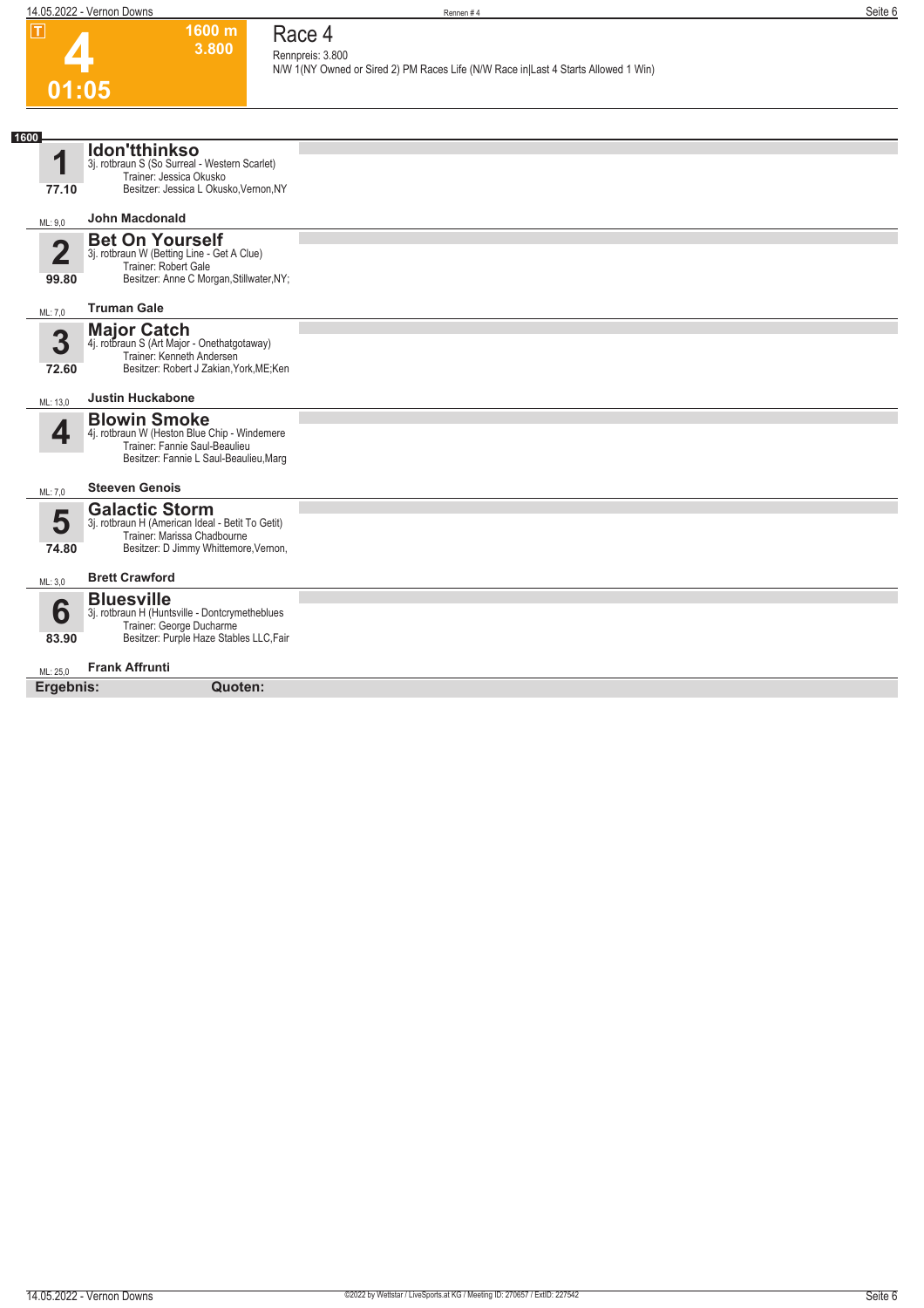**1600 m 3.800** 

**Race 4 Rennpreis: 3.800**

**N/W 1(NY Owned or Sired 2) PM Races Life (N/W Race in|Last 4 Starts Allowed 1 Win)** 

# **4 01:05**

| 1600                    |                                                                                                  |  |
|-------------------------|--------------------------------------------------------------------------------------------------|--|
| 1                       | <b>Idon'tthinkso</b><br>3j. rotbraun S (So Surreal - Western Scarlet)<br>Trainer: Jessica Okusko |  |
| 77.10                   | Besitzer: Jessica L Okusko, Vernon, NY                                                           |  |
| ML: 9.0                 | <b>John Macdonald</b>                                                                            |  |
| $\overline{\mathbf{2}}$ | <b>Bet On Yourself</b><br>3j. rotbraun W (Betting Line - Get A Clue)                             |  |
|                         | Trainer: Robert Gale                                                                             |  |
| 99.80                   | Besitzer: Anne C Morgan, Stillwater, NY;                                                         |  |
| ML: 7,0                 | <b>Truman Gale</b>                                                                               |  |
| 3                       | <b>Major Catch</b><br>4j. rotbraun S (Art Major - Onethatgotaway)                                |  |
|                         | Trainer: Kenneth Andersen                                                                        |  |
| 72.60                   | Besitzer: Robert J Zakian, York, ME; Ken                                                         |  |
| ML: 13,0                | <b>Justin Huckabone</b>                                                                          |  |
|                         | <b>Blowin Smoke</b>                                                                              |  |
| 4                       | 4j. rotbraun W (Heston Blue Chip - Windemere<br>Trainer: Fannie Saul-Beaulieu                    |  |
|                         | Besitzer: Fannie L Saul-Beaulieu, Marq                                                           |  |
| ML: 7,0                 | <b>Steeven Genois</b>                                                                            |  |
| 5                       | <b>Galactic Storm</b>                                                                            |  |
|                         | 3j. rotbraun H (American Ideal - Betit To Getit)<br>Trainer: Marissa Chadbourne                  |  |
| 74.80                   | Besitzer: D Jimmy Whittemore, Vernon,                                                            |  |
| ML: 3,0                 | <b>Brett Crawford</b>                                                                            |  |
|                         | <b>Bluesville</b>                                                                                |  |
| 6                       | 3j. rotbraun H (Huntsville - Dontcrymetheblues<br>Trainer: George Ducharme                       |  |
| 83.90                   | Besitzer: Purple Haze Stables LLC, Fair                                                          |  |
| ML: 25.0                | <b>Frank Affrunti</b>                                                                            |  |
| Ergebnis:               | Quoten:                                                                                          |  |
|                         |                                                                                                  |  |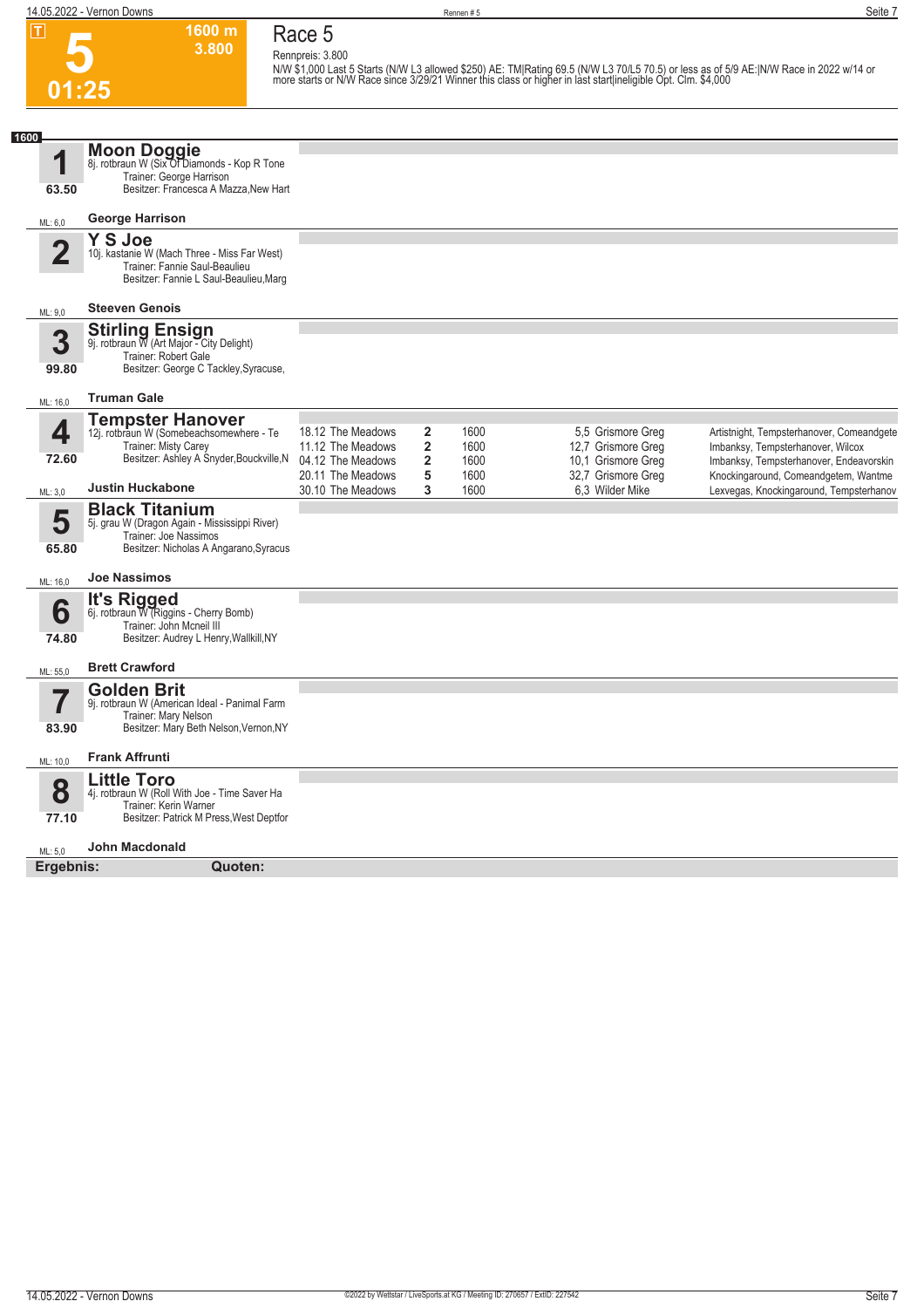**Race 5 Rennpreis: 3.800**

**1600 m 3.800** 

**5 01:25**

N/W \$1,000 Last 5 Starts (N/W L3 allowed \$250) AE: TM|Rating 69.5 (N/W L3 70/L5 70.5) or less as of 5/9 AE:|N/W Race in 2022 w/14 or<br>more starts or N/W Race since 3/29/21 Winner this class or higher in last start|ineligibl

| 1600                    |                                                                                                                                                           |                                                             |                                                                      |                      |                                                               |                                                                                                                           |
|-------------------------|-----------------------------------------------------------------------------------------------------------------------------------------------------------|-------------------------------------------------------------|----------------------------------------------------------------------|----------------------|---------------------------------------------------------------|---------------------------------------------------------------------------------------------------------------------------|
| 63.50                   | Moon Doggie<br>8j. rotbraun W (Six Of Diamonds - Kop R Tone<br>Trainer: George Harrison<br>Besitzer: Francesca A Mazza, New Hart                          |                                                             |                                                                      |                      |                                                               |                                                                                                                           |
| ML: 6,0                 | George Harrison                                                                                                                                           |                                                             |                                                                      |                      |                                                               |                                                                                                                           |
| $\overline{\mathbf{2}}$ | <b>Y S Joe</b><br>10j. kastanie W (Mach Three - Miss Far West)<br>Trainer: Fannie Saul-Beaulieu<br>Besitzer: Fannie L Saul-Beaulieu, Marq                 |                                                             |                                                                      |                      |                                                               |                                                                                                                           |
| ML: 9,0                 | <b>Steeven Genois</b>                                                                                                                                     |                                                             |                                                                      |                      |                                                               |                                                                                                                           |
| 3<br>99.80              | Stirling Ensign<br>9j. rotbraun W (Art Major - City Delight)<br>Trainer: Robert Gale<br>Besitzer: George C Tackley, Syracuse,                             |                                                             |                                                                      |                      |                                                               |                                                                                                                           |
| ML: 16,0                | <b>Truman Gale</b>                                                                                                                                        |                                                             |                                                                      |                      |                                                               |                                                                                                                           |
| 4<br>72.60              | <b>Tempster Hanover</b><br>12j. rotbraun W (Somebeachsomewhere - Te<br>Trainer: Misty Carey<br>Besitzer: Ashley A Snyder, Bouckville, N                   | 18.12 The Meadows<br>11.12 The Meadows<br>04.12 The Meadows | $\overline{\mathbf{2}}$<br>$\overline{\mathbf{2}}$<br>$\overline{2}$ | 1600<br>1600<br>1600 | 5,5 Grismore Greg<br>12,7 Grismore Greg<br>10,1 Grismore Greg | Artistnight, Tempsterhanover, Comeandgete<br>Imbanksy, Tempsterhanover, Wilcox<br>Imbanksy, Tempsterhanover, Endeavorskin |
| ML: 3,0                 | <b>Justin Huckabone</b>                                                                                                                                   | 20.11 The Meadows<br>30.10 The Meadows                      | 5<br>3                                                               | 1600<br>1600         | 32,7 Grismore Greg<br>6.3 Wilder Mike                         | Knockingaround, Comeandgetem, Wantme<br>Lexvegas, Knockingaround, Tempsterhanov                                           |
| 5<br>65.80<br>ML: 16,0  | <b>Black Titanium</b><br>5j. grau W (Dragon Again - Mississippi River)<br>Trainer: Joe Nassimos<br>Besitzer: Nicholas A Angarano, Syracus<br>Joe Nassimos |                                                             |                                                                      |                      |                                                               |                                                                                                                           |
| 6<br>74.80              | It's Rigged<br>6j. rotbraun W (Riggins - Cherry Bomb)<br>Trainer: John Mcneil III<br>Besitzer: Audrey L Henry, Wallkill, NY                               |                                                             |                                                                      |                      |                                                               |                                                                                                                           |
| ML: 55,0                | <b>Brett Crawford</b>                                                                                                                                     |                                                             |                                                                      |                      |                                                               |                                                                                                                           |
| 7<br>83.90              | <b>Golden Brit</b><br>9j. rotbraun W (American Ideal - Panimal Farm<br>Trainer: Mary Nelson<br>Besitzer: Mary Beth Nelson, Vernon, NY                     |                                                             |                                                                      |                      |                                                               |                                                                                                                           |
| ML: 10.0                | <b>Frank Affrunti</b>                                                                                                                                     |                                                             |                                                                      |                      |                                                               |                                                                                                                           |
| 8<br>77.10              | <b>Little Toro</b><br>4j. rotbraun W (Roll With Joe - Time Saver Ha<br>Trainer: Kerin Warner<br>Besitzer: Patrick M Press, West Deptfor                   |                                                             |                                                                      |                      |                                                               |                                                                                                                           |
| ML: 5.0                 | <b>John Macdonald</b>                                                                                                                                     |                                                             |                                                                      |                      |                                                               |                                                                                                                           |
| Ergebnis:               | Quoten:                                                                                                                                                   |                                                             |                                                                      |                      |                                                               |                                                                                                                           |
|                         |                                                                                                                                                           |                                                             |                                                                      |                      |                                                               |                                                                                                                           |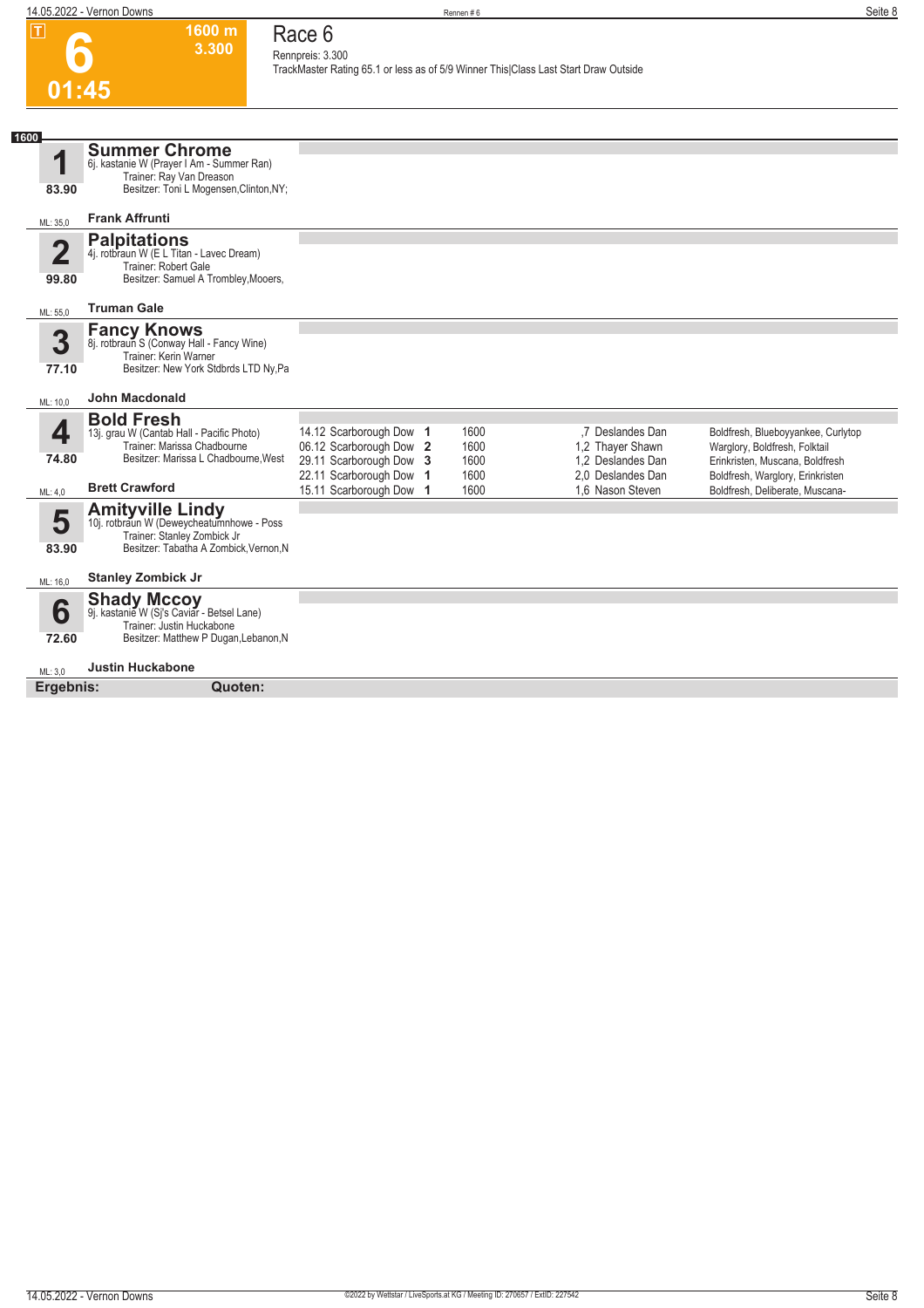|                         | 14.05.2022 - Vernon Downs                                                                                                                                  |                                                    | Rennen#6     |                                                                                     | Seite 8                                                          |
|-------------------------|------------------------------------------------------------------------------------------------------------------------------------------------------------|----------------------------------------------------|--------------|-------------------------------------------------------------------------------------|------------------------------------------------------------------|
| $ \mathsf{T} $<br>01:45 | 1600 m<br>3.300                                                                                                                                            | Race 6<br>Rennpreis: 3.300                         |              | TrackMaster Rating 65.1 or less as of 5/9 Winner This Class Last Start Draw Outside |                                                                  |
|                         |                                                                                                                                                            |                                                    |              |                                                                                     |                                                                  |
| 1600                    |                                                                                                                                                            |                                                    |              |                                                                                     |                                                                  |
| 1                       | <b>Summer Chrome</b><br>6j. kastanie W (Prayer I Am - Summer Ran)                                                                                          |                                                    |              |                                                                                     |                                                                  |
| 83.90                   | Trainer: Ray Van Dreason<br>Besitzer: Toni L Mogensen, Clinton, NY;                                                                                        |                                                    |              |                                                                                     |                                                                  |
|                         |                                                                                                                                                            |                                                    |              |                                                                                     |                                                                  |
| ML: 35,0                | <b>Frank Affrunti</b>                                                                                                                                      |                                                    |              |                                                                                     |                                                                  |
| $\overline{2}$<br>99.80 | <b>Palpitations</b><br>4j. rotbraun W (E L Titan - Lavec Dream)<br>Trainer: Robert Gale<br>Besitzer: Samuel A Trombley, Mooers,                            |                                                    |              |                                                                                     |                                                                  |
| ML: 55,0                | <b>Truman Gale</b>                                                                                                                                         |                                                    |              |                                                                                     |                                                                  |
| 3<br>77.10<br>ML: 10,0  | <b>Fancy Knows</b><br>8j. rotbraun S (Conway Hall - Fancy Wine)<br>Trainer: Kerin Warner<br>Besitzer: New York Stdbrds LTD Ny, Pa<br><b>John Macdonald</b> |                                                    |              |                                                                                     |                                                                  |
|                         | <b>Bold Fresh</b>                                                                                                                                          |                                                    |              |                                                                                     |                                                                  |
| 4                       | 13j. grau W (Cantab Hall - Pacific Photo)                                                                                                                  | 14.12 Scarborough Dow 1                            | 1600         | ,7 Deslandes Dan                                                                    | Boldfresh, Blueboyyankee, Curlytop                               |
| 74.80                   | Trainer: Marissa Chadbourne<br>Besitzer: Marissa L Chadbourne. West                                                                                        | 06.12 Scarborough Dow 2<br>29.11 Scarborough Dow 3 | 1600<br>1600 | 1.2 Thayer Shawn<br>1.2 Deslandes Dan                                               | Warglory, Boldfresh, Folktail<br>Erinkristen, Muscana, Boldfresh |
|                         |                                                                                                                                                            | 22.11 Scarborough Dow 1                            | 1600         | 2.0 Deslandes Dan                                                                   | Boldfresh, Warglory, Erinkristen                                 |
| ML: 4,0                 | <b>Brett Crawford</b>                                                                                                                                      | 15.11 Scarborough Dow 1                            | 1600         | 1,6 Nason Steven                                                                    | Boldfresh, Deliberate, Muscana-                                  |
| 5<br>83.90              | <b>Amityville Lindy</b><br>10j. rotbraun W (Deweycheatumnhowe - Poss<br>Trainer: Stanley Zombick Jr<br>Besitzer: Tabatha A Zombick, Vernon, N              |                                                    |              |                                                                                     |                                                                  |
| ML: 16,0                | <b>Stanley Zombick Jr</b>                                                                                                                                  |                                                    |              |                                                                                     |                                                                  |
| 6<br>72.60              | <b>Shady Mccoy</b><br>9j. kastanie W (Sj's Caviar - Betsel Lane)<br>Trainer: Justin Huckabone<br>Besitzer: Matthew P Dugan, Lebanon, N                     |                                                    |              |                                                                                     |                                                                  |
| ML: 3.0                 | <b>Justin Huckabone</b>                                                                                                                                    |                                                    |              |                                                                                     |                                                                  |
| Ergebnis:               | Quoten:                                                                                                                                                    |                                                    |              |                                                                                     |                                                                  |
|                         |                                                                                                                                                            |                                                    |              |                                                                                     |                                                                  |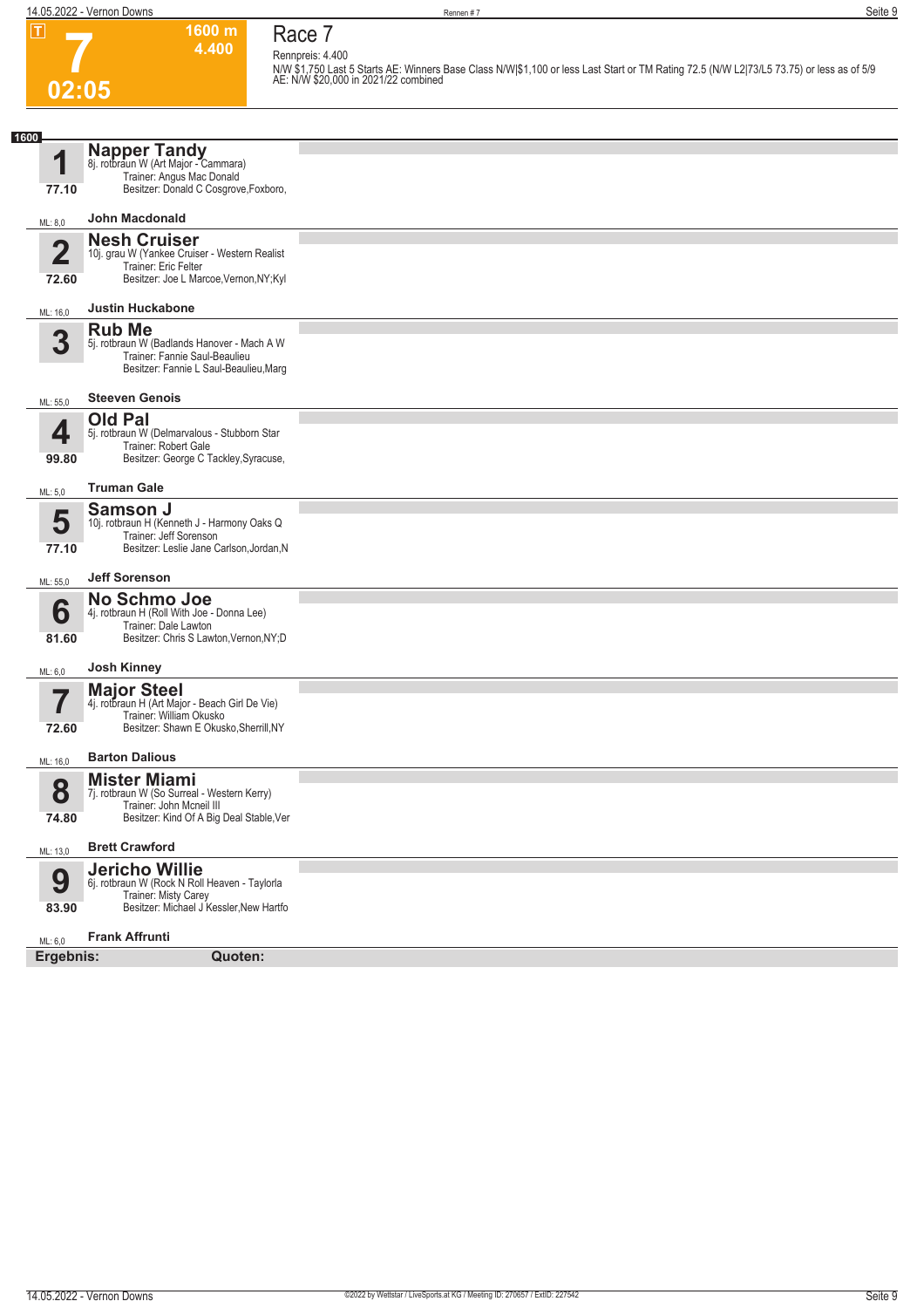#### **Race 7 Rennpreis: 4.400**

**1600 m 4.400** 

**N/W \$1,750 Last 5 Starts AE: Winners Base Class N/W|\$1,100 or less Last Start or TM Rating 72.5 (N/W L2|73/L5 73.75) or less as of 5/9 AE: N/W \$20,000 in 2021/22 combined** 

| 1600                    |                                                                                                                                            |  |
|-------------------------|--------------------------------------------------------------------------------------------------------------------------------------------|--|
| 4<br>77.10              | Napper Tandy<br>8j. rotbraun W (Art Major - Cammara)<br>Trainer: Angus Mac Donald<br>Besitzer: Donald C Cosgrove, Foxboro,                 |  |
| ML: 8,0                 | <b>John Macdonald</b>                                                                                                                      |  |
| $\overline{2}$<br>72.60 | <b>Nesh Cruiser</b><br>10j. grau W (Yankee Cruiser - Western Realist<br>Trainer: Eric Felter<br>Besitzer: Joe L Marcoe, Vernon, NY; Kyl    |  |
| ML: 16,0                | <b>Justin Huckabone</b>                                                                                                                    |  |
| 3                       | <b>Rub Me</b><br>5j. rotbraun W (Badlands Hanover - Mach A W<br>Trainer: Fannie Saul-Beaulieu<br>Besitzer: Fannie L Saul-Beaulieu, Marg    |  |
| ML: 55,0                | <b>Steeven Genois</b>                                                                                                                      |  |
| 4<br>99.80              | <b>Old Pal</b><br>5j. rotbraun W (Delmarvalous - Stubborn Star<br>Trainer: Robert Gale<br>Besitzer: George C Tackley, Syracuse,            |  |
| ML: 5,0                 | <b>Truman Gale</b>                                                                                                                         |  |
| 5<br>77.10              | <b>Samson J</b><br>10j. rotbraun H (Kenneth J - Harmony Oaks Q<br>Trainer: Jeff Sorenson<br>Besitzer: Leslie Jane Carlson, Jordan, N       |  |
| ML: 55,0                | <b>Jeff Sorenson</b>                                                                                                                       |  |
| 6<br>81.60              | No Schmo Joe<br>4j. rotbraun H (Roll With Joe - Donna Lee)<br>Trainer: Dale Lawton<br>Besitzer: Chris S Lawton, Vernon, NY; D              |  |
| ML: 6,0                 | <b>Josh Kinney</b>                                                                                                                         |  |
| 7<br>72.60              | <b>Major Steel</b><br>4j. rotbraun H (Art Major - Beach Girl De Vie)<br>Trainer: William Okusko<br>Besitzer: Shawn E Okusko, Sherrill, NY  |  |
| ML: 16,0                | <b>Barton Dalious</b>                                                                                                                      |  |
| 8<br>74.80              | <b>Mister Miami</b><br>7j. rotbraun W (So Surreal - Western Kerry)<br>Trainer: John Mcneil III<br>Besitzer: Kind Of A Big Deal Stable, Ver |  |
| ML: 13,0                | <b>Brett Crawford</b>                                                                                                                      |  |
| 9<br>83.90              | <b>Jericho Willie</b><br>6j. rotbraun W (Rock N Roll Heaven - Taylorla<br>Trainer: Misty Carey<br>Besitzer: Michael J Kessler, New Hartfo  |  |
| ML: 6,0<br>Ergebnis:    | <b>Frank Affrunti</b><br>Quoten:                                                                                                           |  |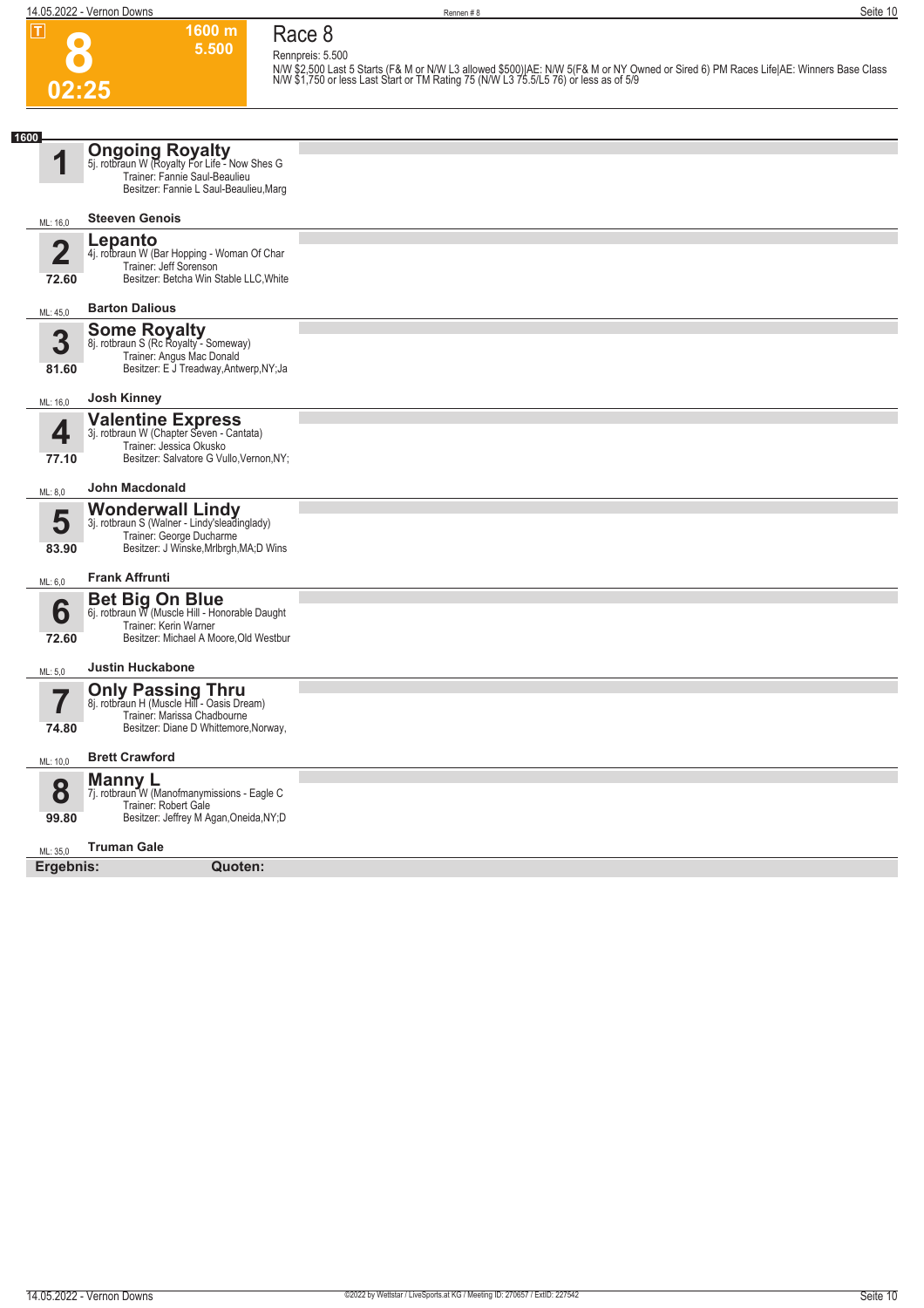**Race 8 Rennpreis: 5.500**

**1600 m 5.500** 

**8 02:25**

N/W \$2,500 Last 5 Starts (F& M or N/W L3 allowed \$500)|AE: N/W 5(F& M or NY Owned or Sired 6) PM Races Life|AE: Winners Base Class<br>N/W \$1,750 or less Last Start or TM Rating 75 (N/W L3 75.5/L5 76) or less as of 5/9

| 1600                             |                                                                                                                                                                         |  |
|----------------------------------|-------------------------------------------------------------------------------------------------------------------------------------------------------------------------|--|
| И                                | <b>Ongoing Royalty</b><br>5j. rotbraun W (Royalty For Life - Now Shes G<br>Trainer: Fannie Saul-Beaulieu<br>Besitzer: Fannie L Saul-Beaulieu, Marg                      |  |
| ML: 16,0                         | <b>Steeven Genois</b>                                                                                                                                                   |  |
| $\overline{\mathbf{2}}$<br>72.60 | Lepanto<br>4j. rotbraun W (Bar Hopping - Woman Of Char<br>Trainer: Jeff Sorenson<br>Besitzer: Betcha Win Stable LLC, White                                              |  |
| ML: 45,0                         | <b>Barton Dalious</b>                                                                                                                                                   |  |
| 3<br>81.60                       | <b>Some Royalty</b><br>8j. rotbraun S (Rc Royalty - Someway)<br>Trainer: Angus Mac Donald<br>Besitzer: E J Treadway, Antwerp, NY; Ja                                    |  |
| ML: 16,0                         | <b>Josh Kinney</b>                                                                                                                                                      |  |
| 4<br>77.10                       | <b>Valentine Express</b><br>3j. rotbraun W (Chapter Seven - Cantata)<br>Trainer: Jessica Okusko<br>Besitzer: Salvatore G Vullo, Vernon, NY;                             |  |
| ML: 8,0                          | <b>John Macdonald</b>                                                                                                                                                   |  |
| 5<br>83.90<br>ML: 6,0            | <b>Wonderwall Lindy</b><br>3j. rotbraun S (Walner - Lindy'sleadinglady)<br>Trainer: George Ducharme<br>Besitzer: J Winske, Mrlbrgh, MA; D Wins<br><b>Frank Affrunti</b> |  |
| 6<br>72.60                       | <b>Bet Big On Blue</b><br>6j. rotbraun W (Muscle Hill - Honorable Daught<br>Trainer: Kerin Warner<br>Besitzer: Michael A Moore, Old Westbur                             |  |
| ML: 5,0                          | <b>Justin Huckabone</b>                                                                                                                                                 |  |
| 5<br>$\mathbf{I}$<br>74.80       | <b>Only Passing Thru</b><br>8j. rotbraun H (Muscle Hill - Oasis Dream)<br>Trainer: Marissa Chadbourne<br>Besitzer: Diane D Whittemore, Norway,                          |  |
| ML: 10.0                         | <b>Brett Crawford</b>                                                                                                                                                   |  |
| 8<br>99.80                       | <b>Manny L</b><br>7j. rotbraun W (Manofmanymissions - Eagle C<br>Trainer: Robert Gale<br>Besitzer: Jeffrey M Agan, Oneida, NY; D                                        |  |
| ML: 35.0                         | <b>Truman Gale</b>                                                                                                                                                      |  |
| Ergebnis:                        | Quoten:                                                                                                                                                                 |  |
|                                  |                                                                                                                                                                         |  |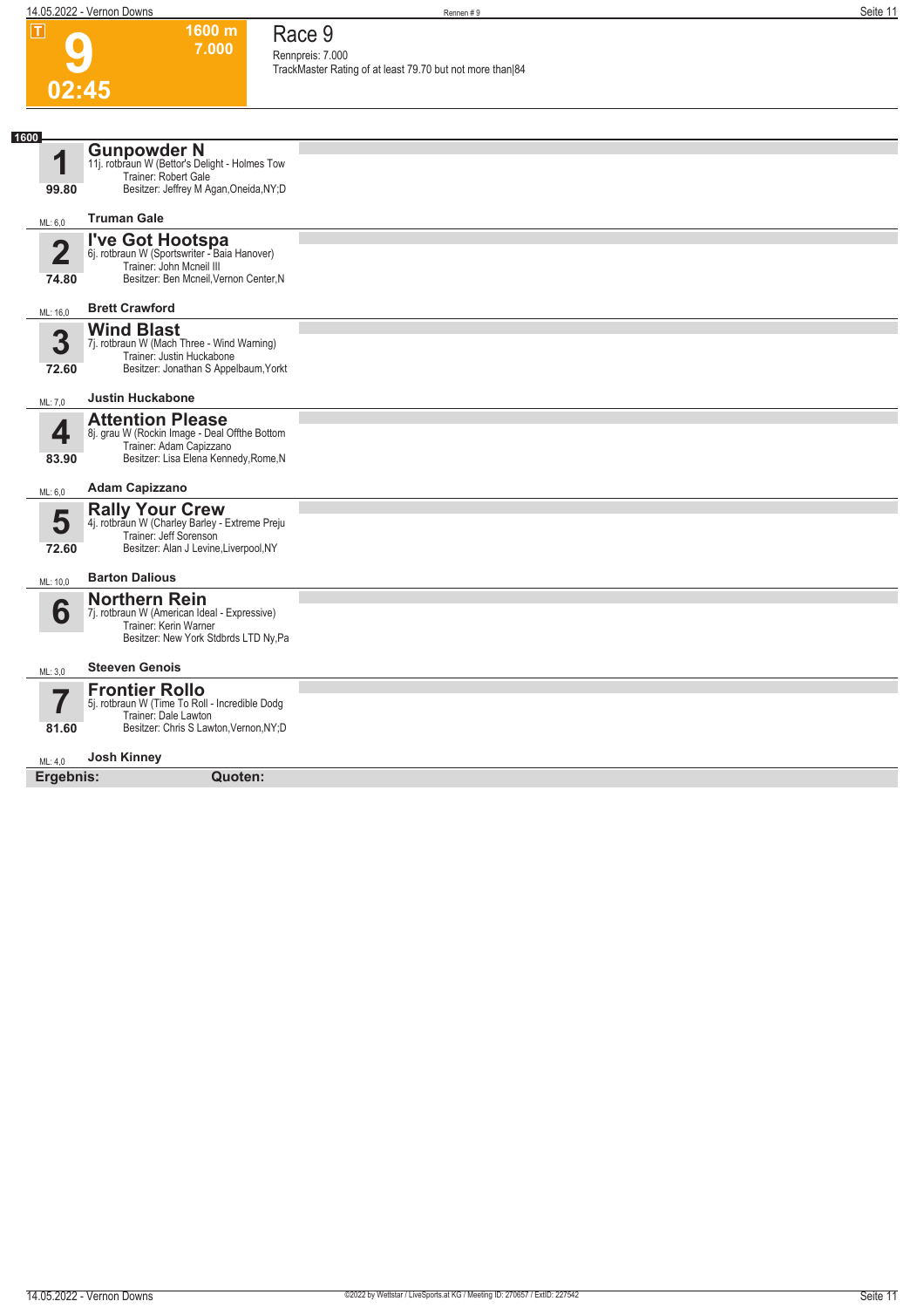**1600 m 7.000**  **Race 9**

**9**

|                         |                                                                                                                                        | Rennpreis: 7.000<br>TrackMaster Rating of at least 79.70 but not more than 84 |
|-------------------------|----------------------------------------------------------------------------------------------------------------------------------------|-------------------------------------------------------------------------------|
| 02:45                   |                                                                                                                                        |                                                                               |
|                         |                                                                                                                                        |                                                                               |
| 1600                    |                                                                                                                                        |                                                                               |
| 1                       | <b>Gunpowder N</b><br>11j. rotbraun W (Bettor's Delight - Holmes Tow                                                                   |                                                                               |
|                         | Trainer: Robert Gale                                                                                                                   |                                                                               |
| 99.80                   | Besitzer: Jeffrey M Agan, Oneida, NY; D                                                                                                |                                                                               |
| ML: 6,0                 | <b>Truman Gale</b>                                                                                                                     |                                                                               |
| $\overline{2}$<br>74.80 | I've Got Hootspa<br>6j. rotbraun W (Sportswriter - Baia Hanover)<br>Trainer: John Mcneil III<br>Besitzer: Ben Mcneil, Vernon Center, N |                                                                               |
| ML: 16,0                | <b>Brett Crawford</b>                                                                                                                  |                                                                               |
|                         | <b>Wind Blast</b>                                                                                                                      |                                                                               |
| 3                       | 7j. rotbraun W (Mach Three - Wind Warning)<br>Trainer: Justin Huckabone                                                                |                                                                               |
| 72.60                   | Besitzer: Jonathan S Appelbaum, Yorkt                                                                                                  |                                                                               |
| ML: 7,0                 | <b>Justin Huckabone</b>                                                                                                                |                                                                               |
|                         | <b>Attention Please</b>                                                                                                                |                                                                               |
| 4                       | 8j. grau W (Rockin Image - Deal Offthe Bottom<br>Trainer: Adam Capizzano                                                               |                                                                               |
| 83.90                   | Besitzer: Lisa Elena Kennedy, Rome, N                                                                                                  |                                                                               |
| ML: 6,0                 | <b>Adam Capizzano</b>                                                                                                                  |                                                                               |
|                         | <b>Rally Your Crew</b>                                                                                                                 |                                                                               |
| 5                       | 4j. rotbraun W (Charley Barley - Extreme Preju<br>Trainer: Jeff Sorenson                                                               |                                                                               |
| 72.60                   | Besitzer: Alan J Levine, Liverpool, NY                                                                                                 |                                                                               |
| ML: 10,0                | <b>Barton Dalious</b>                                                                                                                  |                                                                               |
|                         | <b>Northern Rein</b>                                                                                                                   |                                                                               |
| 6                       | 7j. rotbraun W (American Ideal - Expressive)<br>Trainer: Kerin Warner                                                                  |                                                                               |
|                         | Besitzer: New York Stdbrds LTD Ny, Pa                                                                                                  |                                                                               |
| ML: 3,0                 | <b>Steeven Genois</b>                                                                                                                  |                                                                               |
| 57                      | <b>Frontier Rollo</b>                                                                                                                  |                                                                               |
|                         | 5j. rotbraun W (Time To Roll - Incredible Dodg<br>Trainer: Dale Lawton                                                                 |                                                                               |
| 81.60                   | Besitzer: Chris S Lawton, Vernon, NY; D                                                                                                |                                                                               |
| ML: 4,0                 | <b>Josh Kinney</b>                                                                                                                     |                                                                               |
| Ergebnis:               | Quoten:                                                                                                                                |                                                                               |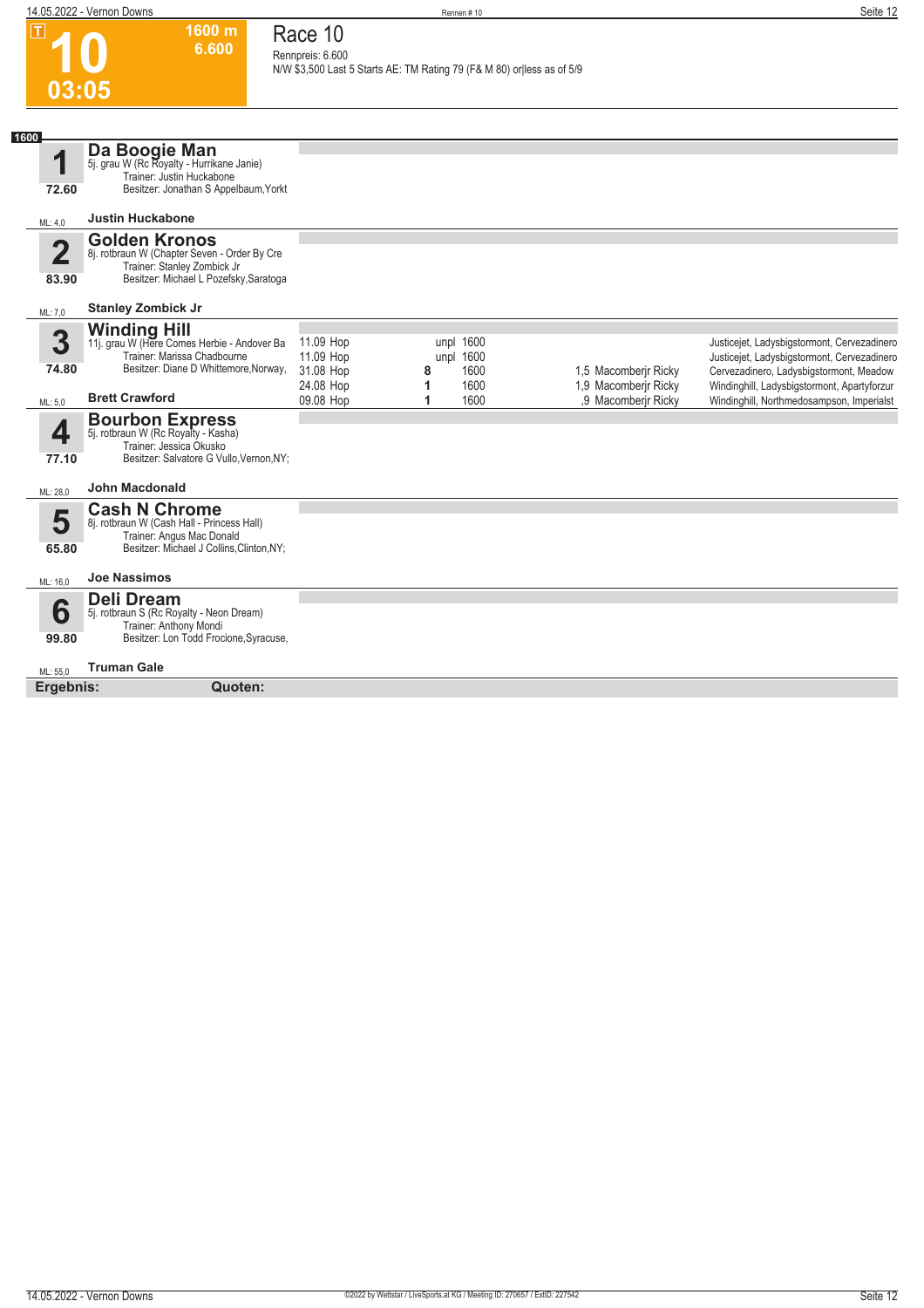**1600 m**

|      | $\mathbf I$                      | 1600 m<br>6.600                                                                                                                               | Race 10<br>Rennpreis: 6.600                      | N/W \$3,500 Last 5 Starts AE: TM Rating 79 (F& M 80) or less as of 5/9 |                                        |                                              |                                                                                                                                                                                      |
|------|----------------------------------|-----------------------------------------------------------------------------------------------------------------------------------------------|--------------------------------------------------|------------------------------------------------------------------------|----------------------------------------|----------------------------------------------|--------------------------------------------------------------------------------------------------------------------------------------------------------------------------------------|
|      | 03:05                            |                                                                                                                                               |                                                  |                                                                        |                                        |                                              |                                                                                                                                                                                      |
| 1600 | 1<br>72.60                       | Da Boogie Man<br>5j. grau W (Rc Royalty - Hurrikane Janie)<br>Trainer: Justin Huckabone<br>Besitzer: Jonathan S Appelbaum, Yorkt              |                                                  |                                                                        |                                        |                                              |                                                                                                                                                                                      |
|      | ML: 4,0                          | <b>Justin Huckabone</b>                                                                                                                       |                                                  |                                                                        |                                        |                                              |                                                                                                                                                                                      |
|      | $\overline{\mathbf{2}}$<br>83.90 | <b>Golden Kronos</b><br>8j. rotbraun W (Chapter Seven - Order By Cre<br>Trainer: Stanley Zombick Jr<br>Besitzer: Michael L Pozefsky, Saratoga |                                                  |                                                                        |                                        |                                              |                                                                                                                                                                                      |
|      | ML: 7,0                          | <b>Stanley Zombick Jr</b>                                                                                                                     |                                                  |                                                                        |                                        |                                              |                                                                                                                                                                                      |
|      | 3<br>74.80                       | <b>Winding Hill</b><br>11j. grau W (Here Comes Herbie - Andover Ba<br>Trainer: Marissa Chadbourne<br>Besitzer: Diane D Whittemore, Norway,    | 11.09 Hop<br>11.09 Hop<br>31.08 Hop<br>24.08 Hop | 8<br>1                                                                 | unpl 1600<br>unpl 1600<br>1600<br>1600 | 1,5 Macomberjr Ricky<br>1,9 Macomberir Ricky | Justicejet, Ladysbigstormont, Cervezadinero<br>Justicejet, Ladysbigstormont, Cervezadinero<br>Cervezadinero, Ladysbigstormont, Meadow<br>Windinghill, Ladysbigstormont, Apartyforzur |
|      | ML: 5,0                          | <b>Brett Crawford</b>                                                                                                                         | 09.08 Hop                                        | 1                                                                      | 1600                                   | ,9 Macomberjr Ricky                          | Windinghill, Northmedosampson, Imperialst                                                                                                                                            |
|      | 4<br>77.10                       | <b>Bourbon Express</b><br>5j. rotbraun W (Rc Royalty - Kasha)<br>Trainer: Jessica Okusko<br>Besitzer: Salvatore G Vullo, Vernon, NY;          |                                                  |                                                                        |                                        |                                              |                                                                                                                                                                                      |
|      | ML: 28,0                         | <b>John Macdonald</b>                                                                                                                         |                                                  |                                                                        |                                        |                                              |                                                                                                                                                                                      |
|      | 5<br>65.80                       | <b>Cash N Chrome</b><br>8j. rotbraun W (Cash Hall - Princess Hall)<br>Trainer: Angus Mac Donald<br>Besitzer: Michael J Collins, Clinton, NY;  |                                                  |                                                                        |                                        |                                              |                                                                                                                                                                                      |
|      | ML: 16,0                         | <b>Joe Nassimos</b>                                                                                                                           |                                                  |                                                                        |                                        |                                              |                                                                                                                                                                                      |
|      | 6<br>99.80                       | <b>Deli Dream</b><br>5j. rotbraun S (Rc Royalty - Neon Dream)<br>Trainer: Anthony Mondi<br>Besitzer: Lon Todd Frocione, Syracuse,             |                                                  |                                                                        |                                        |                                              |                                                                                                                                                                                      |
|      | ML: 55,0                         | <b>Truman Gale</b>                                                                                                                            |                                                  |                                                                        |                                        |                                              |                                                                                                                                                                                      |
|      | Ergebnis:                        | Quoten:                                                                                                                                       |                                                  |                                                                        |                                        |                                              |                                                                                                                                                                                      |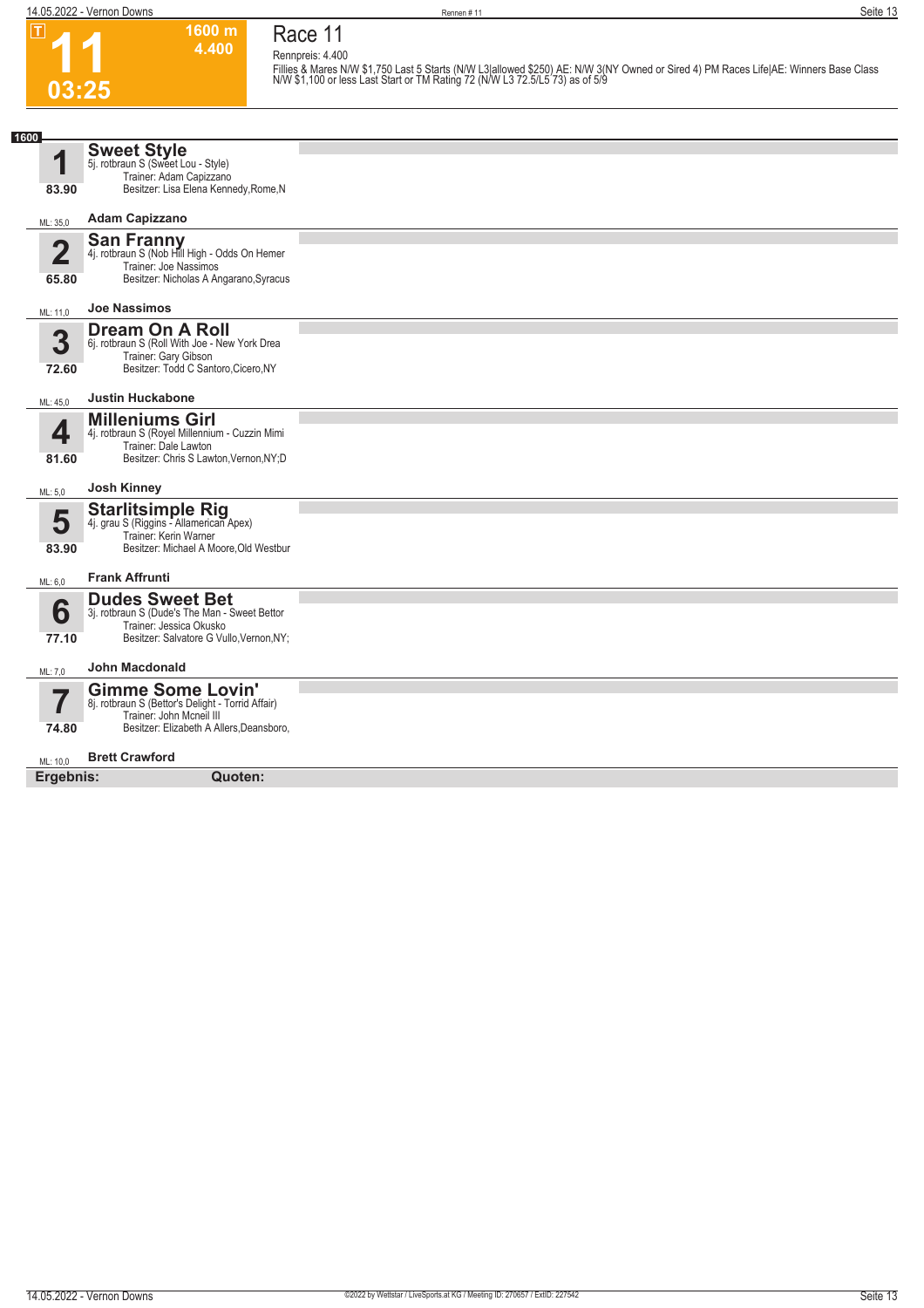

### **Race 11 Rennpreis: 4.400**

**1600 m 4.400** 

Fillies & Mares N/W \$1,750 Last 5 Starts (N/W L3|allowed \$250) AE: N/W 3(NY Owned or Sired 4) PM Races Life|AE: Winners Base Class<br>N/W \$1,100 or less Last Start or TM Rating 72 (N/W L3 72.5/L5 73) as of 5/9

| 1600        |                                                                               |  |
|-------------|-------------------------------------------------------------------------------|--|
|             | <b>Sweet Style</b>                                                            |  |
| 1           | 5j. rotbraun S (Sweet Lou - Style)                                            |  |
|             | Trainer: Adam Capizzano                                                       |  |
| 83.90       | Besitzer: Lisa Elena Kennedy, Rome, N                                         |  |
|             | <b>Adam Capizzano</b>                                                         |  |
| ML: 35,0    |                                                                               |  |
| $\mathbf 2$ | San Franny<br>4j. rotbraun S (Nob Hill High - Odds On Hemer                   |  |
|             | Trainer: Joe Nassimos                                                         |  |
| 65.80       | Besitzer: Nicholas A Angarano, Syracus                                        |  |
|             |                                                                               |  |
| ML: 11,0    | <b>Joe Nassimos</b>                                                           |  |
|             | <b>Dream On A Roll</b>                                                        |  |
| 3           | 6j. rotbraun S (Roll With Joe - New York Drea                                 |  |
|             | Trainer: Gary Gibson                                                          |  |
| 72.60       | Besitzer: Todd C Santoro, Cicero, NY                                          |  |
| ML: 45,0    | <b>Justin Huckabone</b>                                                       |  |
|             | <b>Milleniums Girl</b>                                                        |  |
| 4           | 4j. rotbraun S (Royel Millennium - Cuzzin Mimi                                |  |
|             | Trainer: Dale Lawton                                                          |  |
| 81.60       | Besitzer: Chris S Lawton, Vernon, NY; D                                       |  |
|             | <b>Josh Kinney</b>                                                            |  |
| ML: 5,0     |                                                                               |  |
|             | <b>Starlitsimple Rig</b>                                                      |  |
| 5           | 4j. grau S (Riggins - Allamerican Apex)                                       |  |
| 83.90       | Trainer: Kerin Warner<br>Besitzer: Michael A Moore, Old Westbur               |  |
|             |                                                                               |  |
| ML: 6.0     | <b>Frank Affrunti</b>                                                         |  |
|             | <b>Dudes Sweet Bet</b>                                                        |  |
| 6           | 3j. rotbraun S (Dude's The Man - Sweet Bettor                                 |  |
|             | Trainer: Jessica Okusko                                                       |  |
| 77.10       | Besitzer: Salvatore G Vullo, Vernon, NY;                                      |  |
|             | <b>John Macdonald</b>                                                         |  |
| ML: 7,0     |                                                                               |  |
| 57          | <b>Gimme Some Lovin'</b>                                                      |  |
|             | 8j. rotbraun S (Bettor's Delight - Torrid Affair)<br>Trainer: John Mcneil III |  |
| 74.80       | Besitzer: Elizabeth A Allers, Deansboro,                                      |  |
|             |                                                                               |  |
| ML: 10,0    | <b>Brett Crawford</b>                                                         |  |
| Ergebnis:   | Quoten:                                                                       |  |
|             |                                                                               |  |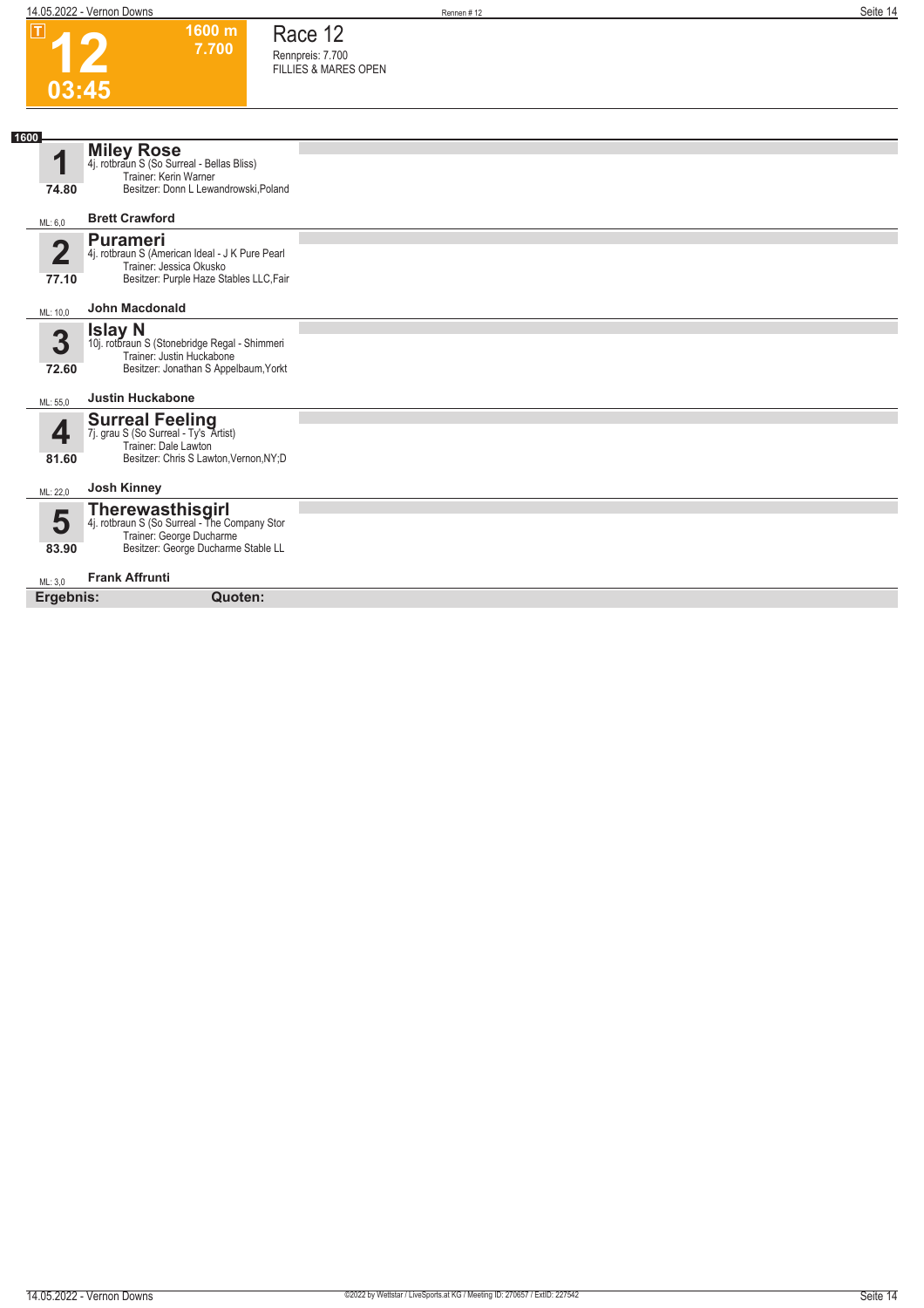$\boxed{1}$ 





**1600 m 7.700** 

| 1600                 |                                                                                                                                             |  |
|----------------------|---------------------------------------------------------------------------------------------------------------------------------------------|--|
| 1                    | <b>Miley Rose</b><br>4j. rotbraun S (So Surreal - Bellas Bliss)<br>Trainer: Kerin Warner                                                    |  |
| 74.80                | Besitzer: Donn L Lewandrowski, Poland                                                                                                       |  |
| ML: 6,0              | <b>Brett Crawford</b>                                                                                                                       |  |
| $\mathbf 2$<br>77.10 | <b>Purameri</b><br>4j. rotbraun S (American Ideal - J K Pure Pearl<br>Trainer: Jessica Okusko<br>Besitzer: Purple Haze Stables LLC, Fair    |  |
| ML: 10,0             | <b>John Macdonald</b>                                                                                                                       |  |
| 3<br>72.60           | <b>Islay N</b><br>10j. rotbraun S (Stonebridge Regal - Shimmeri<br>Trainer: Justin Huckabone<br>Besitzer: Jonathan S Appelbaum, Yorkt       |  |
| ML: 55,0             | <b>Justin Huckabone</b>                                                                                                                     |  |
| 4<br>81.60           | <b>Surreal Feeling</b><br>7j. grau S (So Surreal - Ty's Artist)<br>Trainer: Dale Lawton<br>Besitzer: Chris S Lawton, Vernon, NY; D          |  |
| ML: 22,0             | <b>Josh Kinney</b>                                                                                                                          |  |
| 5<br>83.90           | <b>Therewasthisgirl</b><br>4j. rotbraun S (So Surreal - The Company Stor<br>Trainer: George Ducharme<br>Besitzer: George Ducharme Stable LL |  |
| ML: 3,0              | <b>Frank Affrunti</b>                                                                                                                       |  |
| Ergebnis:            | Quoten:                                                                                                                                     |  |